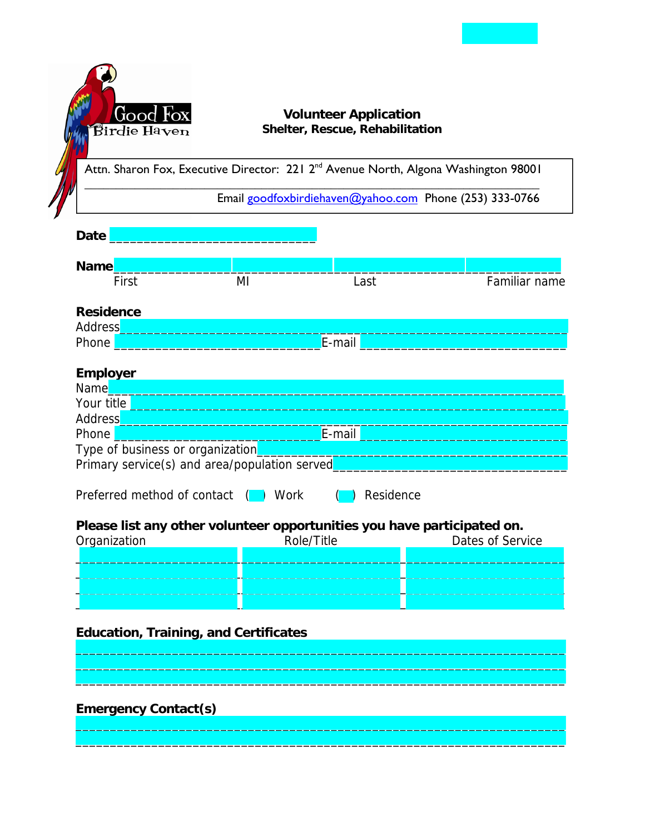

### **Volunteer Application** Shelter, Rescue, Rehabilitation

Attn. Sharon Fox, Executive Director: 221 2<sup>nd</sup> Avenue North, Algona Washington 98001

Email goodfoxbirdiehaven@yahoo.com Phone (253) 333-0766

# **Date**

| <b>Name</b>       |    |        |               |
|-------------------|----|--------|---------------|
| First             | ΜI | Last   | Familiar name |
| <b>Residence</b>  |    |        |               |
| Address_<br>Phone |    | E-mail |               |
| <b>Employer</b>   |    |        |               |

#### mplover.

| <b>Name</b> |                                               |
|-------------|-----------------------------------------------|
| Your title  |                                               |
| Address     |                                               |
| Phone       | E-mail                                        |
|             | Type of business or organization              |
|             | Primary service(s) and area/population served |

Preferred method of contact ( ) Work  $\binom{1}{1}$  Residence

## Please list any other volunteer opportunities you have participated on.

| Organization | Role/Title | Dates of Service |
|--------------|------------|------------------|
|              |            |                  |
|              |            |                  |
|              |            |                  |
|              |            |                  |

## **Education, Training, and Certificates**

**Emergency Contact(s)**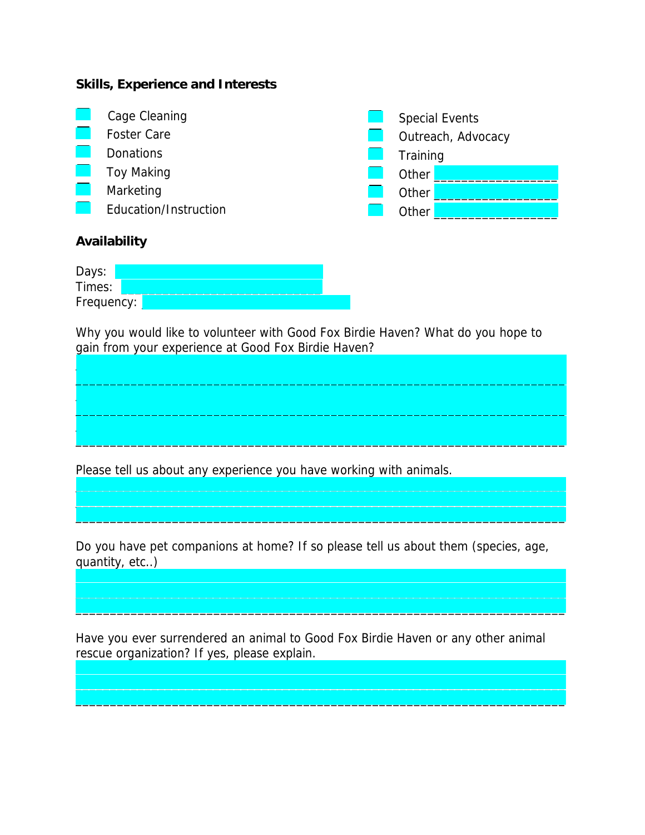#### **Skills, Experience and Interests**



| Days:      |  |  |  |  |
|------------|--|--|--|--|
| Times:     |  |  |  |  |
| Frequency: |  |  |  |  |

Why you would like to volunteer with Good Fox Birdie Haven? What do you hope to gain from your experience at Good Fox Birdie Haven?

Please tell us about any experience you have working with animals.

Do you have pet companions at home? If so please tell us about them (species, age, quantity, etc..)

Have you ever surrendered an animal to Good Fox Birdie Haven or any other animal rescue organization? If yes, please explain.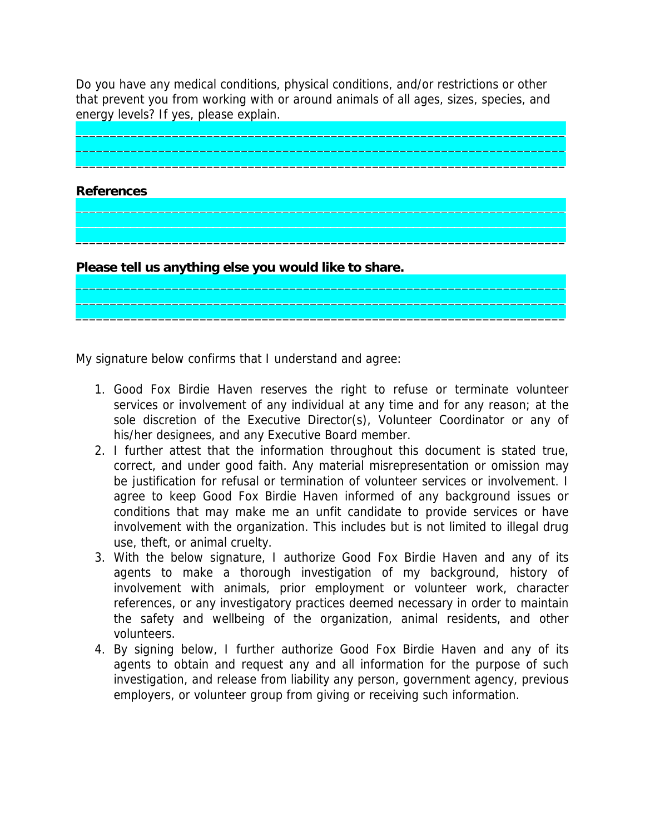Do you have any medical conditions, physical conditions, and/or restrictions or other that prevent you from working with or around animals of all ages, sizes, species, and energy levels? If yes, please explain.

\_\_\_\_\_\_\_\_\_\_\_\_\_\_\_\_\_\_\_\_\_\_\_\_\_\_\_\_\_\_\_\_\_\_\_\_\_\_\_\_\_\_\_\_\_\_\_\_\_\_\_\_\_\_\_\_\_\_\_\_\_\_\_\_\_\_\_\_\_\_\_  $\overline{\phantom{a}}$  , and the contribution of the contribution of the contribution of the contribution of the contribution of the contribution of the contribution of the contribution of the contribution of the contribution of the  $\mathcal{L}_\text{max}$  , and the contribution of the contribution of the contribution of the contribution of the contribution of the contribution of the contribution of the contribution of the contribution of the contribution of t

 $\mathcal{L}_\text{max}$  , and the set of the set of the set of the set of the set of the set of the set of the set of the set of the set of the set of the set of the set of the set of the set of the set of the set of the set of the  $\overline{\phantom{a}}$  , and the contribution of the contribution of the contribution of the contribution of the contribution of the contribution of the contribution of the contribution of the contribution of the contribution of the \_\_\_\_\_\_\_\_\_\_\_\_\_\_\_\_\_\_\_\_\_\_\_\_\_\_\_\_\_\_\_\_\_\_\_\_\_\_\_\_\_\_\_\_\_\_\_\_\_\_\_\_\_\_\_\_\_\_\_\_\_\_\_\_\_\_\_\_\_\_\_

 $\mathcal{L}_\text{max}$  , and the set of the set of the set of the set of the set of the set of the set of the set of the set of the set of the set of the set of the set of the set of the set of the set of the set of the set of the \_\_\_\_\_\_\_\_\_\_\_\_\_\_\_\_\_\_\_\_\_\_\_\_\_\_\_\_\_\_\_\_\_\_\_\_\_\_\_\_\_\_\_\_\_\_\_\_\_\_\_\_\_\_\_\_\_\_\_\_\_\_\_\_\_\_\_\_\_\_\_ \_\_\_\_\_\_\_\_\_\_\_\_\_\_\_\_\_\_\_\_\_\_\_\_\_\_\_\_\_\_\_\_\_\_\_\_\_\_\_\_\_\_\_\_\_\_\_\_\_\_\_\_\_\_\_\_\_\_\_\_\_\_\_\_\_\_\_\_\_\_\_

**References** 

**Please tell us anything else you would like to share.**

My signature below confirms that I understand and agree:

- 1. Good Fox Birdie Haven reserves the right to refuse or terminate volunteer services or involvement of any individual at any time and for any reason; at the sole discretion of the Executive Director(s), Volunteer Coordinator or any of his/her designees, and any Executive Board member.
- 2. I further attest that the information throughout this document is stated true, correct, and under good faith. Any material misrepresentation or omission may be justification for refusal or termination of volunteer services or involvement. I agree to keep Good Fox Birdie Haven informed of any background issues or conditions that may make me an unfit candidate to provide services or have involvement with the organization. This includes but is not limited to illegal drug use, theft, or animal cruelty.
- 3. With the below signature, I authorize Good Fox Birdie Haven and any of its agents to make a thorough investigation of my background, history of involvement with animals, prior employment or volunteer work, character references, or any investigatory practices deemed necessary in order to maintain the safety and wellbeing of the organization, animal residents, and other volunteers.
- 4. By signing below, I further authorize Good Fox Birdie Haven and any of its agents to obtain and request any and all information for the purpose of such investigation, and release from liability any person, government agency, previous employers, or volunteer group from giving or receiving such information.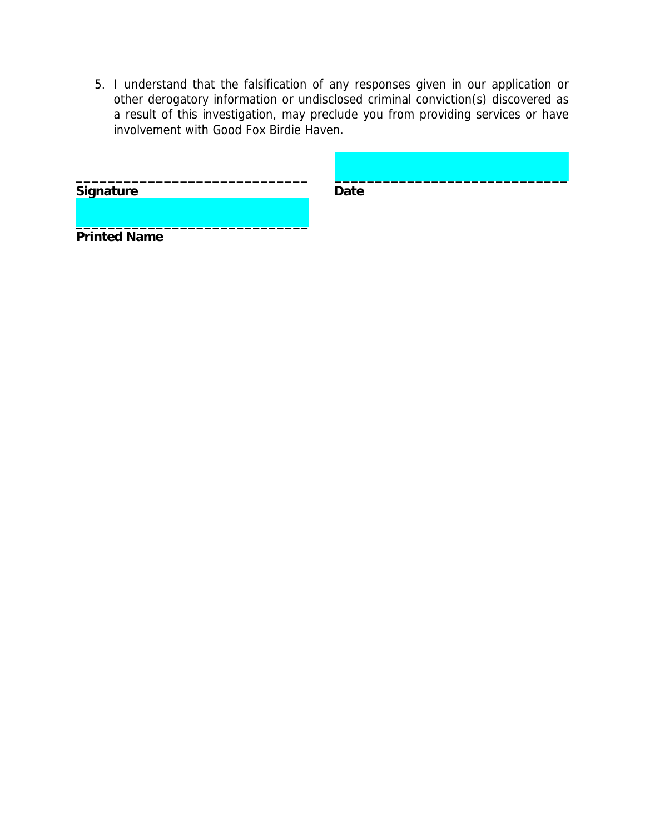5. I understand that the falsification of any responses given in our application or other derogatory information or undisclosed criminal conviction(s) discovered as a result of this investigation, may preclude you from providing services or have involvement with Good Fox Birdie Haven.

| Signature           | <b>Date</b> |  |
|---------------------|-------------|--|
| <b>Printed Name</b> |             |  |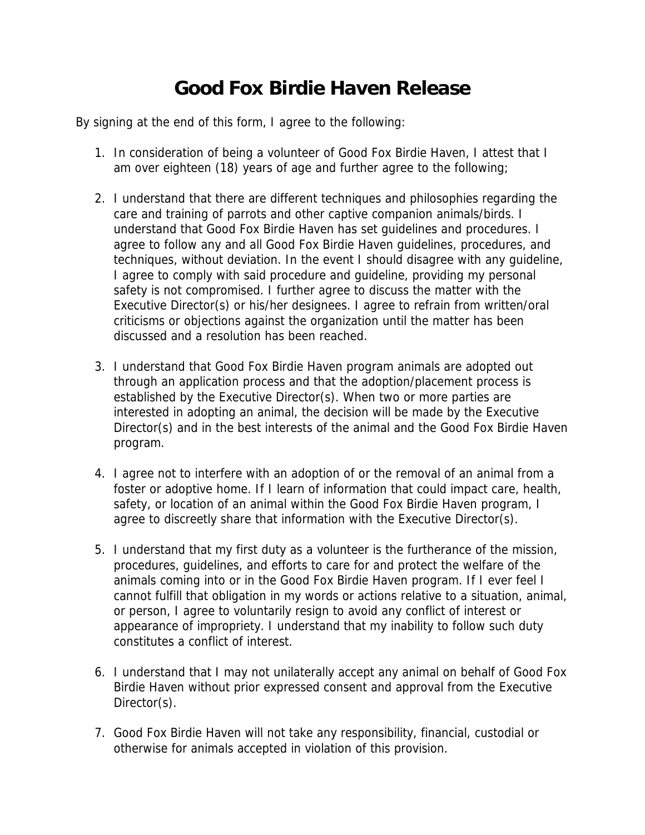# **Good Fox Birdie Haven Release**

By signing at the end of this form, I agree to the following:

- 1. In consideration of being a volunteer of Good Fox Birdie Haven, I attest that I am over eighteen (18) years of age and further agree to the following;
- 2. I understand that there are different techniques and philosophies regarding the care and training of parrots and other captive companion animals/birds. I understand that Good Fox Birdie Haven has set guidelines and procedures. I agree to follow any and all Good Fox Birdie Haven guidelines, procedures, and techniques, without deviation. In the event I should disagree with any guideline, I agree to comply with said procedure and guideline, providing my personal safety is not compromised. I further agree to discuss the matter with the Executive Director(s) or his/her designees. I agree to refrain from written/oral criticisms or objections against the organization until the matter has been discussed and a resolution has been reached.
- 3. I understand that Good Fox Birdie Haven program animals are adopted out through an application process and that the adoption/placement process is established by the Executive Director(s). When two or more parties are interested in adopting an animal, the decision will be made by the Executive Director(s) and in the best interests of the animal and the Good Fox Birdie Haven program.
- 4. I agree not to interfere with an adoption of or the removal of an animal from a foster or adoptive home. If I learn of information that could impact care, health, safety, or location of an animal within the Good Fox Birdie Haven program, I agree to discreetly share that information with the Executive Director(s).
- 5. I understand that my first duty as a volunteer is the furtherance of the mission, procedures, guidelines, and efforts to care for and protect the welfare of the animals coming into or in the Good Fox Birdie Haven program. If I ever feel I cannot fulfill that obligation in my words or actions relative to a situation, animal, or person, I agree to voluntarily resign to avoid any conflict of interest or appearance of impropriety. I understand that my inability to follow such duty constitutes a conflict of interest.
- 6. I understand that I may not unilaterally accept any animal on behalf of Good Fox Birdie Haven without prior expressed consent and approval from the Executive Director(s).
- 7. Good Fox Birdie Haven will not take any responsibility, financial, custodial or otherwise for animals accepted in violation of this provision.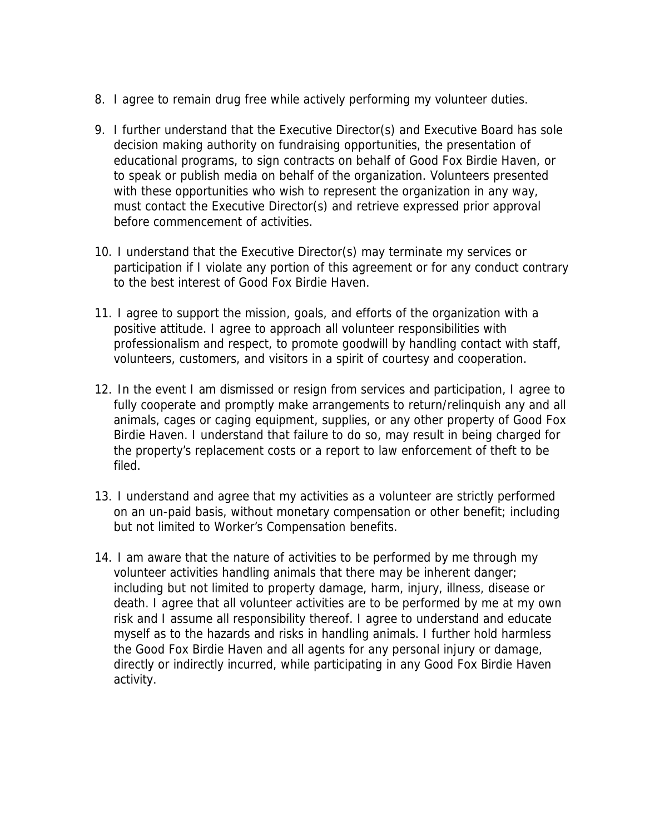- 8. I agree to remain drug free while actively performing my volunteer duties.
- 9. I further understand that the Executive Director(s) and Executive Board has sole decision making authority on fundraising opportunities, the presentation of educational programs, to sign contracts on behalf of Good Fox Birdie Haven, or to speak or publish media on behalf of the organization. Volunteers presented with these opportunities who wish to represent the organization in any way, must contact the Executive Director(s) and retrieve expressed prior approval before commencement of activities.
- 10. I understand that the Executive Director(s) may terminate my services or participation if I violate any portion of this agreement or for any conduct contrary to the best interest of Good Fox Birdie Haven.
- 11. I agree to support the mission, goals, and efforts of the organization with a positive attitude. I agree to approach all volunteer responsibilities with professionalism and respect, to promote goodwill by handling contact with staff, volunteers, customers, and visitors in a spirit of courtesy and cooperation.
- 12. In the event I am dismissed or resign from services and participation, I agree to fully cooperate and promptly make arrangements to return/relinquish any and all animals, cages or caging equipment, supplies, or any other property of Good Fox Birdie Haven. I understand that failure to do so, may result in being charged for the property's replacement costs or a report to law enforcement of theft to be filed.
- 13. I understand and agree that my activities as a volunteer are strictly performed on an un-paid basis, without monetary compensation or other benefit; including but not limited to Worker's Compensation benefits.
- 14. I am aware that the nature of activities to be performed by me through my volunteer activities handling animals that there may be inherent danger; including but not limited to property damage, harm, injury, illness, disease or death. I agree that all volunteer activities are to be performed by me at my own risk and I assume all responsibility thereof. I agree to understand and educate myself as to the hazards and risks in handling animals. I further hold harmless the Good Fox Birdie Haven and all agents for any personal injury or damage, directly or indirectly incurred, while participating in any Good Fox Birdie Haven activity.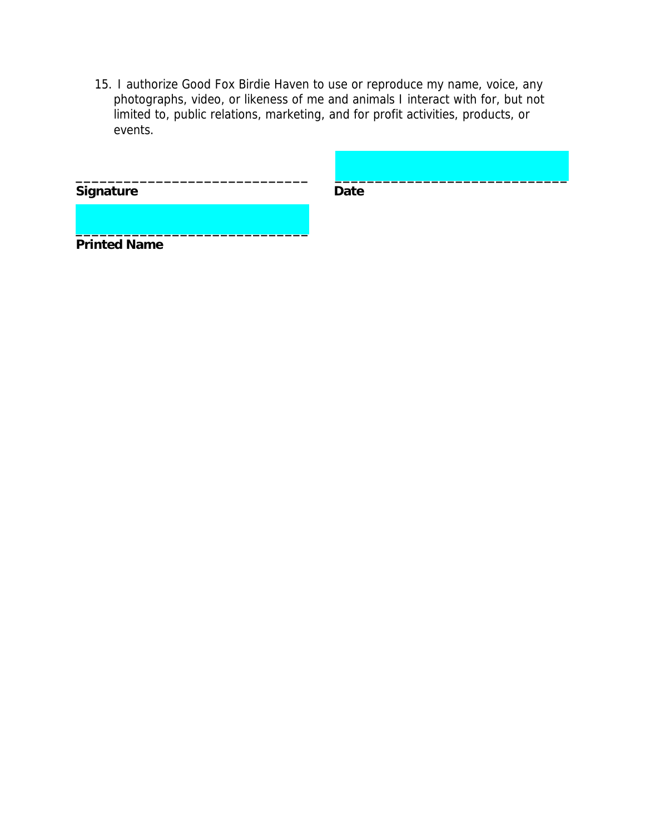15. I authorize Good Fox Birdie Haven to use or reproduce my name, voice, any photographs, video, or likeness of me and animals I interact with for, but not limited to, public relations, marketing, and for profit activities, products, or events.

| <b>Signature</b>    | <b>Date</b> |  |
|---------------------|-------------|--|
|                     |             |  |
| <b>Printed Name</b> |             |  |